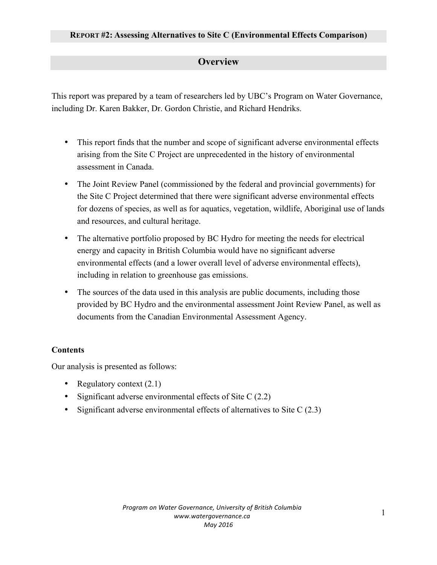## **Overview**

This report was prepared by a team of researchers led by UBC's Program on Water Governance, including Dr. Karen Bakker, Dr. Gordon Christie, and Richard Hendriks.

- This report finds that the number and scope of significant adverse environmental effects arising from the Site C Project are unprecedented in the history of environmental assessment in Canada.
- The Joint Review Panel (commissioned by the federal and provincial governments) for the Site C Project determined that there were significant adverse environmental effects for dozens of species, as well as for aquatics, vegetation, wildlife, Aboriginal use of lands and resources, and cultural heritage.
- The alternative portfolio proposed by BC Hydro for meeting the needs for electrical energy and capacity in British Columbia would have no significant adverse environmental effects (and a lower overall level of adverse environmental effects), including in relation to greenhouse gas emissions.
- The sources of the data used in this analysis are public documents, including those provided by BC Hydro and the environmental assessment Joint Review Panel, as well as documents from the Canadian Environmental Assessment Agency.

## **Contents**

Our analysis is presented as follows:

- Regulatory context  $(2.1)$
- Significant adverse environmental effects of Site C (2.2)
- Significant adverse environmental effects of alternatives to Site C (2.3)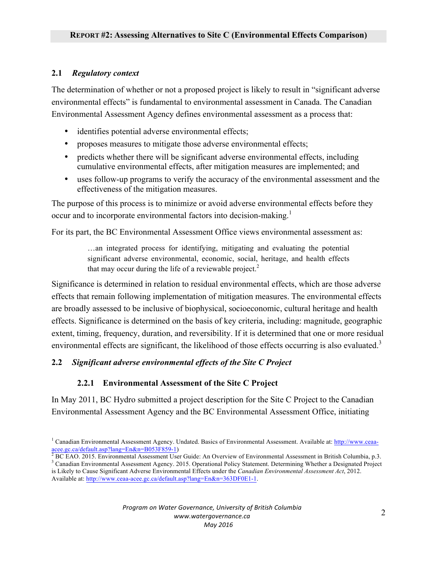## **2.1** *Regulatory context*

The determination of whether or not a proposed project is likely to result in "significant adverse environmental effects" is fundamental to environmental assessment in Canada. The Canadian Environmental Assessment Agency defines environmental assessment as a process that:

- identifies potential adverse environmental effects;
- proposes measures to mitigate those adverse environmental effects;
- predicts whether there will be significant adverse environmental effects, including cumulative environmental effects, after mitigation measures are implemented; and
- uses follow-up programs to verify the accuracy of the environmental assessment and the effectiveness of the mitigation measures.

The purpose of this process is to minimize or avoid adverse environmental effects before they occur and to incorporate environmental factors into decision-making.<sup>1</sup>

For its part, the BC Environmental Assessment Office views environmental assessment as:

…an integrated process for identifying, mitigating and evaluating the potential significant adverse environmental, economic, social, heritage, and health effects that may occur during the life of a reviewable project.<sup>2</sup>

Significance is determined in relation to residual environmental effects, which are those adverse effects that remain following implementation of mitigation measures. The environmental effects are broadly assessed to be inclusive of biophysical, socioeconomic, cultural heritage and health effects. Significance is determined on the basis of key criteria, including: magnitude, geographic extent, timing, frequency, duration, and reversibility. If it is determined that one or more residual environmental effects are significant, the likelihood of those effects occurring is also evaluated.<sup>3</sup>

### **2.2** *Significant adverse environmental effects of the Site C Project*

### **2.2.1 Environmental Assessment of the Site C Project**

In May 2011, BC Hydro submitted a project description for the Site C Project to the Canadian Environmental Assessment Agency and the BC Environmental Assessment Office, initiating

<sup>&</sup>lt;sup>1</sup> Canadian Environmental Assessment Agency. Undated. Basics of Environmental Assessment. Available at: http://www.ceaaacee.gc.ca/default.asp?lang=En&n=B053F859-1)<br>
<sup>2</sup> BC EAO. 2015. Environmental Assessment User Guide: An Overview of Environmental Assessment in British Columbia, p.3.<br>
<sup>3</sup> Canadian Environmental Assessment Agency. 2015. Op

is Likely to Cause Significant Adverse Environmental Effects under the *Canadian Environmental Assessment Act*, 2012. Available at: http://www.ceaa-acee.gc.ca/default.asp?lang=En&n=363DF0E1-1.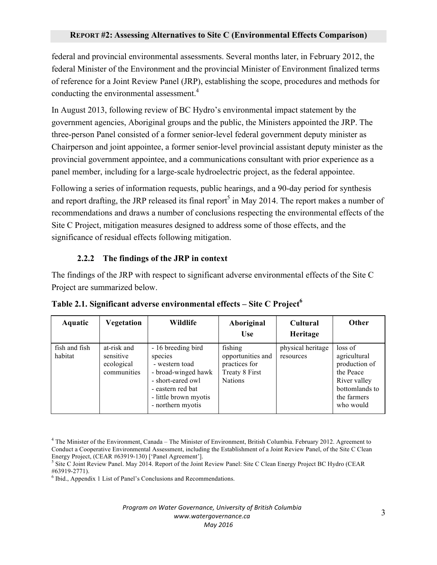federal and provincial environmental assessments. Several months later, in February 2012, the federal Minister of the Environment and the provincial Minister of Environment finalized terms of reference for a Joint Review Panel (JRP), establishing the scope, procedures and methods for conducting the environmental assessment.<sup>4</sup>

In August 2013, following review of BC Hydro's environmental impact statement by the government agencies, Aboriginal groups and the public, the Ministers appointed the JRP. The three-person Panel consisted of a former senior-level federal government deputy minister as Chairperson and joint appointee, a former senior-level provincial assistant deputy minister as the provincial government appointee, and a communications consultant with prior experience as a panel member, including for a large-scale hydroelectric project, as the federal appointee.

Following a series of information requests, public hearings, and a 90-day period for synthesis and report drafting, the JRP released its final report $<sup>5</sup>$  in May 2014. The report makes a number of</sup> recommendations and draws a number of conclusions respecting the environmental effects of the Site C Project, mitigation measures designed to address some of those effects, and the significance of residual effects following mitigation.

## **2.2.2 The findings of the JRP in context**

The findings of the JRP with respect to significant adverse environmental effects of the Site C Project are summarized below.

| Aquatic                  | Vegetation                                            | Wildlife                                                                                                                                                       | Aboriginal<br><b>Use</b>                                                          | <b>Cultural</b><br>Heritage    | Other                                                                                                               |
|--------------------------|-------------------------------------------------------|----------------------------------------------------------------------------------------------------------------------------------------------------------------|-----------------------------------------------------------------------------------|--------------------------------|---------------------------------------------------------------------------------------------------------------------|
| fish and fish<br>habitat | at-risk and<br>sensitive<br>ecological<br>communities | - 16 breeding bird<br>species<br>- western toad<br>- broad-winged hawk<br>- short-eared owl<br>- eastern red bat<br>- little brown myotis<br>- northern myotis | fishing<br>opportunities and<br>practices for<br>Treaty 8 First<br><b>Nations</b> | physical heritage<br>resources | loss of<br>agricultural<br>production of<br>the Peace<br>River valley<br>bottomlands to<br>the farmers<br>who would |

**Table 2.1. Significant adverse environmental effects – Site C Project<sup>6</sup>** 

 $<sup>6</sup>$  Ibid., Appendix 1 List of Panel's Conclusions and Recommendations.</sup>

#### *Program on Water Governance, University of British Columbia www.watergovernance.ca May 2016*

<sup>4</sup> The Minister of the Environment, Canada – The Minister of Environment, British Columbia. February 2012. Agreement to Conduct a Cooperative Environmental Assessment, including the Establishment of a Joint Review Panel, of the Site C Clean

Energy Project, (CEAR #63919-130) ['Panel Agreement'].<br><sup>5</sup> Site C Joint Review Panel. May 2014. Report of the Joint Review Panel: Site C Clean Energy Project BC Hydro (CEAR #63919-2771).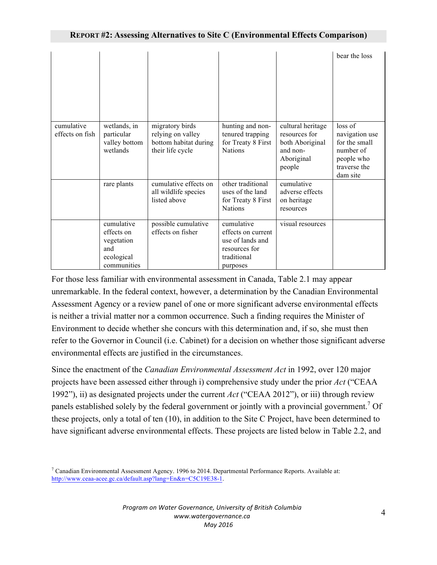|                               |                                                                            |                                                                                   |                                                                                                  |                                                                                           | bear the loss                                                                                     |
|-------------------------------|----------------------------------------------------------------------------|-----------------------------------------------------------------------------------|--------------------------------------------------------------------------------------------------|-------------------------------------------------------------------------------------------|---------------------------------------------------------------------------------------------------|
| cumulative<br>effects on fish | wetlands, in<br>particular<br>valley bottom<br>wetlands                    | migratory birds<br>relying on valley<br>bottom habitat during<br>their life cycle | hunting and non-<br>tenured trapping<br>for Treaty 8 First<br><b>Nations</b>                     | cultural heritage<br>resources for<br>both Aboriginal<br>and non-<br>Aboriginal<br>people | loss of<br>navigation use<br>for the small<br>number of<br>people who<br>traverse the<br>dam site |
|                               | rare plants                                                                | cumulative effects on<br>all wildlife species<br>listed above                     | other traditional<br>uses of the land<br>for Treaty 8 First<br><b>Nations</b>                    | cumulative<br>adverse effects<br>on heritage<br>resources                                 |                                                                                                   |
|                               | cumulative<br>effects on<br>vegetation<br>and<br>ecological<br>communities | possible cumulative<br>effects on fisher                                          | cumulative<br>effects on current<br>use of lands and<br>resources for<br>traditional<br>purposes | visual resources                                                                          |                                                                                                   |

For those less familiar with environmental assessment in Canada, Table 2.1 may appear unremarkable. In the federal context, however, a determination by the Canadian Environmental Assessment Agency or a review panel of one or more significant adverse environmental effects is neither a trivial matter nor a common occurrence. Such a finding requires the Minister of Environment to decide whether she concurs with this determination and, if so, she must then refer to the Governor in Council (i.e. Cabinet) for a decision on whether those significant adverse environmental effects are justified in the circumstances.

Since the enactment of the *Canadian Environmental Assessment Act* in 1992, over 120 major projects have been assessed either through i) comprehensive study under the prior *Act* ("CEAA 1992"), ii) as designated projects under the current *Act* ("CEAA 2012"), or iii) through review panels established solely by the federal government or jointly with a provincial government.<sup>7</sup> Of these projects, only a total of ten (10), in addition to the Site C Project, have been determined to have significant adverse environmental effects. These projects are listed below in Table 2.2, and

 $7$  Canadian Environmental Assessment Agency. 1996 to 2014. Departmental Performance Reports. Available at: http://www.ceaa-acee.gc.ca/default.asp?lang=En&n=C5C19E38-1.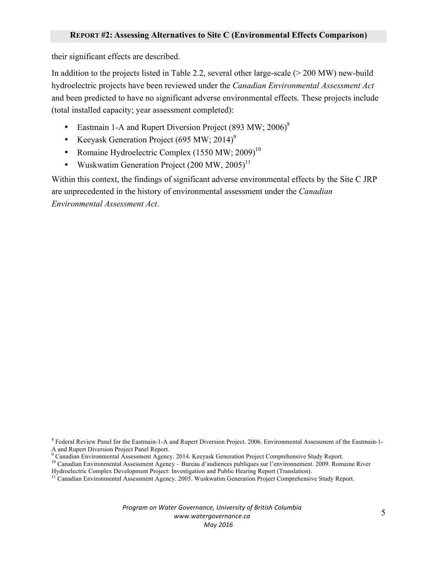their significant effects are described.

In addition to the projects listed in Table 2.2, several other large-scale (> 200 MW) new-build hydroelectric projects have been reviewed under the *Canadian Environmental Assessment Act* and been predicted to have no significant adverse environmental effects. These projects include (total installed capacity; year assessment completed):

- Eastmain 1-A and Rupert Diversion Project  $(893 \text{ MW}; 2006)^8$
- Keeyask Generation Project (695 MW; 2014)<sup>9</sup>
- Romaine Hydroelectric Complex  $(1550 \text{ MW}; 2009)^{10}$
- Wuskwatim Generation Project  $(200 \text{ MW}, 2005)^{11}$

Within this context, the findings of significant adverse environmental effects by the Site C JRP are unprecedented in the history of environmental assessment under the *Canadian Environmental Assessment Act*.

*Program on Water Governance, University of British Columbia www.watergovernance.ca May 2016*

<sup>8</sup> Federal Review Panel for the Eastmain-1-A and Rupert Diversion Project. 2006. Environmental Assessment of the Eastmain-1- A and Rupert Diversion Project Panel Report.<br><sup>9</sup> Canadian Environmental Assessment Agency. 2014. Keeyask Generation Project Comprehensive Study Report.

 $10$  Canadian Environmental Assessment Agency – Bureau d'audiences publiques sur l'environnement. 2009. Romaine River

Hydroelectric Complex Development Project: Investigation and Public Hearing Report (Translation).

<sup>&</sup>lt;sup>11</sup> Canadian Environmental Assessment Agency. 2005. Wuskwatim Generation Project Comprehensive Study Report.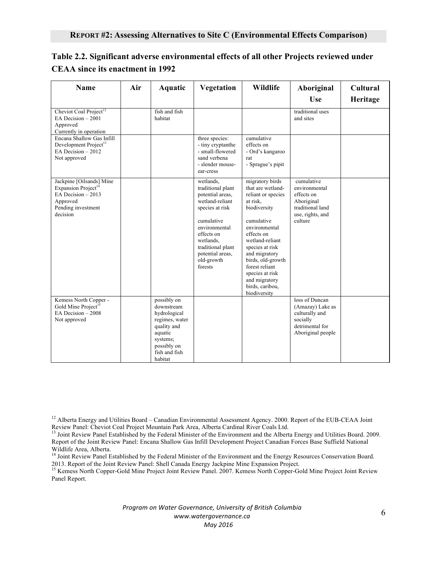| Name                                                                                                                            | Air | Aquatic                                                                                                                                      | Vegetation                                                                                                                                                                                                           | Wildlife                                                                                                                                                                                                                                                                                                 | Aboriginal<br><b>Use</b>                                                                                   | Cultural<br>Heritage |
|---------------------------------------------------------------------------------------------------------------------------------|-----|----------------------------------------------------------------------------------------------------------------------------------------------|----------------------------------------------------------------------------------------------------------------------------------------------------------------------------------------------------------------------|----------------------------------------------------------------------------------------------------------------------------------------------------------------------------------------------------------------------------------------------------------------------------------------------------------|------------------------------------------------------------------------------------------------------------|----------------------|
| Cheviot Coal Project <sup>12</sup><br>EA Decision $-2001$<br>Approved<br>Currently in operation                                 |     | fish and fish<br>habitat                                                                                                                     |                                                                                                                                                                                                                      |                                                                                                                                                                                                                                                                                                          | traditional uses<br>and sites                                                                              |                      |
| Encana Shallow Gas Infill<br>Development Project <sup>13</sup><br>EA Decision $-2012$<br>Not approved                           |     |                                                                                                                                              | three species:<br>- tiny cryptanthe<br>- small-flowered<br>sand verbena<br>- slender mouse-<br>ear-cress                                                                                                             | cumulative<br>effects on<br>- Ord's kangaroo<br>rat<br>- Sprague's pipit                                                                                                                                                                                                                                 |                                                                                                            |                      |
| Jackpine [Oilsands] Mine<br>Expansion Project <sup>14</sup><br>EA Decision - 2013<br>Approved<br>Pending investment<br>decision |     |                                                                                                                                              | wetlands,<br>traditional plant<br>potential areas,<br>wetland-reliant<br>species at risk<br>cumulative<br>environmental<br>effects on<br>wetlands,<br>traditional plant<br>potential areas.<br>old-growth<br>forests | migratory birds<br>that are wetland-<br>reliant or species<br>at risk,<br>biodiversity<br>cumulative<br>environmental<br>effects on<br>wetland-reliant<br>species at risk<br>and migratory<br>birds, old-growth<br>forest reliant<br>species at risk<br>and migratory<br>birds, caribou,<br>biodiversity | cumulative<br>environmental<br>effects on<br>Aboriginal<br>traditional land<br>use, rights, and<br>culture |                      |
| Kemess North Copper -<br>Gold Mine Project <sup>15</sup><br>EA Decision $-2008$<br>Not approved                                 |     | possibly on<br>downstream<br>hydrological<br>regimes, water<br>quality and<br>aquatic<br>systems;<br>possibly on<br>fish and fish<br>habitat |                                                                                                                                                                                                                      |                                                                                                                                                                                                                                                                                                          | loss of Duncan<br>(Amazay) Lake as<br>culturally and<br>socially<br>detrimental for<br>Aboriginal people   |                      |

## **Table 2.2. Significant adverse environmental effects of all other Projects reviewed under CEAA since its enactment in 1992**

<sup>12</sup> Alberta Energy and Utilities Board – Canadian Environmental Assessment Agency. 2000. Report of the EUB-CEAA Joint Review Panel: Cheviot Coal Project Mountain Park Area, Alberta Cardinal River Coals Ltd.

<sup>15</sup> Kemess North Copper-Gold Mine Project Joint Review Panel. 2007. Kemess North Copper-Gold Mine Project Joint Review Panel Report.

> *Program on Water Governance, University of British Columbia www.watergovernance.ca May 2016*

<sup>&</sup>lt;sup>13</sup> Joint Review Panel Established by the Federal Minister of the Environment and the Alberta Energy and Utilities Board. 2009. Report of the Joint Review Panel: Encana Shallow Gas Infill Development Project Canadian Forces Base Suffield National Wildlife Area, Alberta.

<sup>&</sup>lt;sup>14</sup> Joint Review Panel Established by the Federal Minister of the Environment and the Energy Resources Conservation Board. 2013. Report of the Joint Review Panel: Shell Canada Energy Jackpine Mine Expansion Project.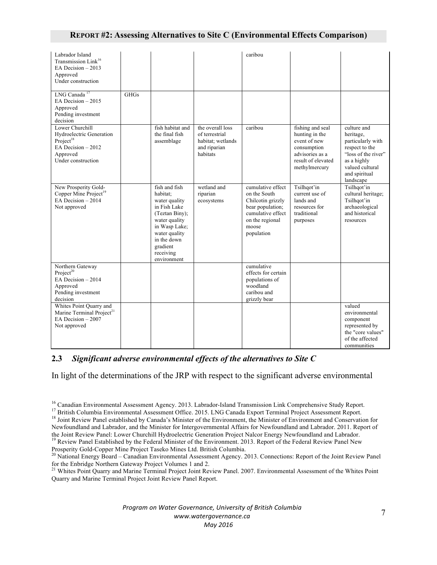### **REPORT #2: Assessing Alternatives to Site C (Environmental Effects Comparison)**

| Labrador Island<br>Transmission Link <sup>16</sup><br>EA Decision $-2013$<br>Approved<br>Under construction                  |             |                                                                                                                                                                                        |                                                                                     | caribou                                                                                                                                   |                                                                                                                             |                                                                                                                                                        |
|------------------------------------------------------------------------------------------------------------------------------|-------------|----------------------------------------------------------------------------------------------------------------------------------------------------------------------------------------|-------------------------------------------------------------------------------------|-------------------------------------------------------------------------------------------------------------------------------------------|-----------------------------------------------------------------------------------------------------------------------------|--------------------------------------------------------------------------------------------------------------------------------------------------------|
| LNG Canada <sup>17</sup><br>EA Decision $-2015$<br>Approved<br>Pending investment<br>decision                                | <b>GHGs</b> |                                                                                                                                                                                        |                                                                                     |                                                                                                                                           |                                                                                                                             |                                                                                                                                                        |
| Lower Churchill<br>Hydroelectric Generation<br>Project <sup>18</sup><br>EA Decision - 2012<br>Approved<br>Under construction |             | fish habitat and<br>the final fish<br>assemblage                                                                                                                                       | the overall loss<br>of terrestrial<br>habitat; wetlands<br>and riparian<br>habitats | caribou                                                                                                                                   | fishing and seal<br>hunting in the<br>event of new<br>consumption<br>advisories as a<br>result of elevated<br>methylmercury | culture and<br>heritage,<br>particularly with<br>respect to the<br>"loss of the river"<br>as a highly<br>valued cultural<br>and spiritual<br>landscape |
| New Prosperity Gold-<br>Copper Mine Project <sup>19</sup><br>EA Decision $-2014$<br>Not approved                             |             | fish and fish<br>habitat;<br>water quality<br>in Fish Lake<br>(Teztan Biny);<br>water quality<br>in Wasp Lake;<br>water quality<br>in the down<br>gradient<br>receiving<br>environment | wetland and<br>riparian<br>ecosystems                                               | cumulative effect<br>on the South<br>Chilcotin grizzly<br>bear population;<br>cumulative effect<br>on the regional<br>moose<br>population | Tsilhqot'in<br>current use of<br>lands and<br>resources for<br>traditional<br>purposes                                      | Tsilhqot'in<br>cultural heritage;<br>Tsilhqot'in<br>archaeological<br>and historical<br>resources                                                      |
| Northern Gateway<br>Project <sup>20</sup><br>EA Decision $-2014$<br>Approved<br>Pending investment<br>decision               |             |                                                                                                                                                                                        |                                                                                     | cumulative<br>effects for certain<br>populations of<br>woodland<br>caribou and<br>grizzly bear                                            |                                                                                                                             |                                                                                                                                                        |
| Whites Point Quarry and<br>Marine Terminal Project <sup>21</sup><br>EA Decision $-2007$<br>Not approved                      |             |                                                                                                                                                                                        |                                                                                     |                                                                                                                                           |                                                                                                                             | valued<br>environmental<br>component<br>represented by<br>the "core values"<br>of the affected<br>communities                                          |

### **2.3** *Significant adverse environmental effects of the alternatives to Site C*

In light of the determinations of the JRP with respect to the significant adverse environmental

Quarry and Marine Terminal Project Joint Review Panel Report.

<sup>&</sup>lt;sup>16</sup> Canadian Environmental Assessment Agency. 2013. Labrador-Island Transmission Link Comprehensive Study Report.<br><sup>17</sup> British Columbia Environmental Assessment Office. 2015. LNG Canada Export Terminal Project Assessment Newfoundland and Labrador, and the Minister for Intergovernmental Affairs for Newfoundland and Labrador. 2011. Report of the Joint Review Panel: Lower Churchill Hydroelectric Generation Project Nalcor Energy Newfoundland and Labrador.

<sup>&</sup>lt;sup>19</sup> Review Panel Established by the Federal Minister of the Environment. 2013. Report of the Federal Review Panel New Prosperity Gold-Copper Mine Project Taseko Mines Ltd. British Columbia.<br><sup>20</sup> National Energy Board – Canadian Environmental Assessment Agency. 2013. Connections: Report of the Joint Review Panel

for the Enbridge Northern Gateway Project Volumes 1 and 2.<br><sup>21</sup> Whites Point Quarry and Marine Terminal Project Joint Review Panel. 2007. Environmental Assessment of the Whites Point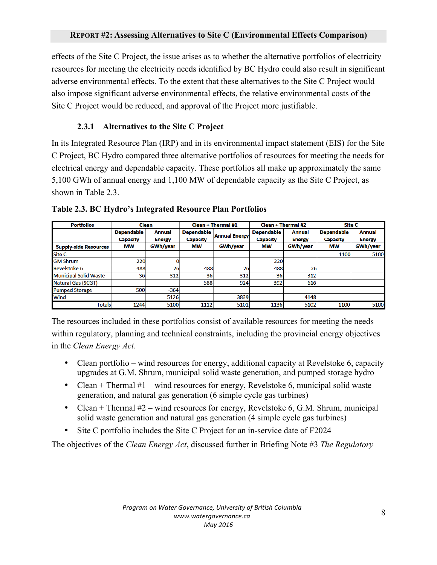effects of the Site C Project, the issue arises as to whether the alternative portfolios of electricity resources for meeting the electricity needs identified by BC Hydro could also result in significant adverse environmental effects. To the extent that these alternatives to the Site C Project would also impose significant adverse environmental effects, the relative environmental costs of the Site C Project would be reduced, and approval of the Project more justifiable.

## **2.3.1 Alternatives to the Site C Project**

In its Integrated Resource Plan (IRP) and in its environmental impact statement (EIS) for the Site C Project, BC Hydro compared three alternative portfolios of resources for meeting the needs for electrical energy and dependable capacity. These portfolios all make up approximately the same 5,100 GWh of annual energy and 1,100 MW of dependable capacity as the Site C Project, as shown in Table 2.3.

| <b>Portfolios</b>            | <b>Clean</b>                         |                                | Clean + Thermal #1                   |                      | Clean + Thermal #2                   |                         | Site C                               |                         |
|------------------------------|--------------------------------------|--------------------------------|--------------------------------------|----------------------|--------------------------------------|-------------------------|--------------------------------------|-------------------------|
|                              | <b>Dependable</b><br><b>Capacity</b> | <b>Annual</b><br><b>Energy</b> | <b>Dependable</b><br><b>Capacity</b> | <b>Annual Energy</b> | <b>Dependable</b><br><b>Capacity</b> | Annual<br><b>Energy</b> | <b>Dependable</b><br><b>Capacity</b> | Annual<br><b>Energy</b> |
| <b>Supply-side Resources</b> | <b>MW</b>                            | GWh/year                       | МW                                   | GWh/year             | <b>MW</b>                            | GWh/year                | МW                                   | GWh/year                |
| Site C                       |                                      |                                |                                      |                      |                                      |                         | 1100                                 | 5100                    |
| <b>GM Shrum</b>              | 220                                  |                                |                                      |                      | 220                                  |                         |                                      |                         |
| <b>Revelstoke 6</b>          | 488                                  | 26                             | 488                                  | 26                   | 488                                  | 26                      |                                      |                         |
| <b>Municipal Solid Waste</b> | 36                                   | 312                            | 36                                   | 312                  | 36                                   | 312                     |                                      |                         |
| <b>Natural Gas (SCGT)</b>    |                                      |                                | 588                                  | 924                  | 392                                  | 616                     |                                      |                         |
| <b>Pumped Storage</b>        | 500                                  | $-364$                         |                                      |                      |                                      |                         |                                      |                         |
| Wind                         |                                      | 5126                           |                                      | 3839                 |                                      | 4148                    |                                      |                         |
| Totals                       | 1244                                 | 5100                           | 1112                                 | 5101                 | 1136                                 | 5102                    | 1100                                 | 5100                    |

**Table 2.3. BC Hydro's Integrated Resource Plan Portfolios**

The resources included in these portfolios consist of available resources for meeting the needs within regulatory, planning and technical constraints, including the provincial energy objectives in the *Clean Energy Act*.

- Clean portfolio wind resources for energy, additional capacity at Revelstoke 6, capacity upgrades at G.M. Shrum, municipal solid waste generation, and pumped storage hydro
- Clean  $+$  Thermal  $#1$  wind resources for energy, Revelstoke 6, municipal solid waste generation, and natural gas generation (6 simple cycle gas turbines)
- Clean + Thermal  $#2$  wind resources for energy, Revelstoke 6, G.M. Shrum, municipal solid waste generation and natural gas generation (4 simple cycle gas turbines)
- Site C portfolio includes the Site C Project for an in-service date of F2024

The objectives of the *Clean Energy Act*, discussed further in Briefing Note #3 *The Regulatory*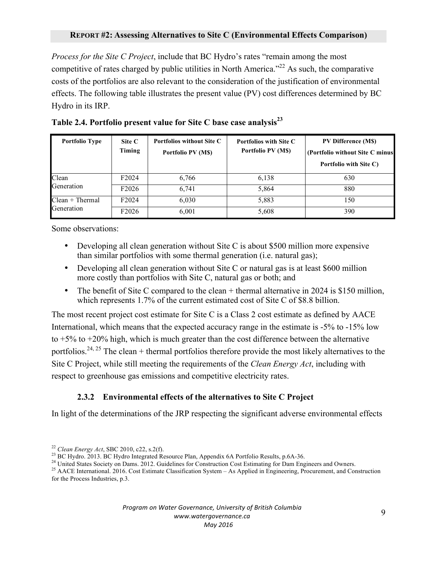*Process for the Site C Project*, include that BC Hydro's rates "remain among the most competitive of rates charged by public utilities in North America."<sup>22</sup> As such, the comparative costs of the portfolios are also relevant to the consideration of the justification of environmental effects. The following table illustrates the present value (PV) cost differences determined by BC Hydro in its IRP.

| <b>Portfolio Type</b> | Site C<br>Timing   | <b>Portfolios without Site C</b><br>Portfolio PV (M\$) | <b>Portfolios with Site C</b><br>Portfolio PV (M\$) | <b>PV Difference (MS)</b><br>(Portfolio without Site C minus)<br>Portfolio with Site C) |
|-----------------------|--------------------|--------------------------------------------------------|-----------------------------------------------------|-----------------------------------------------------------------------------------------|
| Clean                 | F <sub>2</sub> 024 | 6,766                                                  | 6,138                                               | 630                                                                                     |
| Generation            | F <sub>2026</sub>  | 6,741                                                  | 5,864                                               | 880                                                                                     |
| $Clean + Thermal$     | F <sub>2</sub> 024 | 6,030                                                  | 5,883                                               | 150                                                                                     |
| Generation            | F <sub>2026</sub>  | 6,001                                                  | 5,608                                               | 390                                                                                     |

| Table 2.4. Portfolio present value for Site C base case analysis <sup>23</sup> |  |  |
|--------------------------------------------------------------------------------|--|--|
|                                                                                |  |  |

Some observations:

- Developing all clean generation without Site C is about \$500 million more expensive than similar portfolios with some thermal generation (i.e. natural gas);
- Developing all clean generation without Site C or natural gas is at least \$600 million more costly than portfolios with Site C, natural gas or both; and
- The benefit of Site C compared to the clean + thermal alternative in 2024 is \$150 million, which represents 1.7% of the current estimated cost of Site C of \$8.8 billion.

The most recent project cost estimate for Site C is a Class 2 cost estimate as defined by AACE International, which means that the expected accuracy range in the estimate is -5% to -15% low to  $+5\%$  to  $+20\%$  high, which is much greater than the cost difference between the alternative portfolios.<sup>24, 25</sup> The clean + thermal portfolios therefore provide the most likely alternatives to the Site C Project, while still meeting the requirements of the *Clean Energy Act*, including with respect to greenhouse gas emissions and competitive electricity rates.

## **2.3.2 Environmental effects of the alternatives to Site C Project**

In light of the determinations of the JRP respecting the significant adverse environmental effects

<sup>&</sup>lt;sup>22</sup> *Clean Energy Act*, SBC 2010, c22, s.2(f).<br><sup>23</sup> BC Hydro. 2013. BC Hydro Integrated Resource Plan, Appendix 6A Portfolio Results, p.6A-36.<br><sup>24</sup> United States Society on Dams. 2012. Guidelines for Construction Cost Es for the Process Industries, p.3.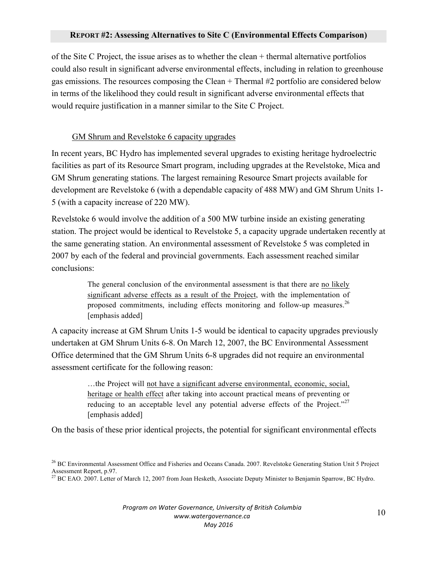### **REPORT #2: Assessing Alternatives to Site C (Environmental Effects Comparison)**

of the Site C Project, the issue arises as to whether the clean + thermal alternative portfolios could also result in significant adverse environmental effects, including in relation to greenhouse gas emissions. The resources composing the Clean + Thermal #2 portfolio are considered below in terms of the likelihood they could result in significant adverse environmental effects that would require justification in a manner similar to the Site C Project.

### GM Shrum and Revelstoke 6 capacity upgrades

In recent years, BC Hydro has implemented several upgrades to existing heritage hydroelectric facilities as part of its Resource Smart program, including upgrades at the Revelstoke, Mica and GM Shrum generating stations. The largest remaining Resource Smart projects available for development are Revelstoke 6 (with a dependable capacity of 488 MW) and GM Shrum Units 1- 5 (with a capacity increase of 220 MW).

Revelstoke 6 would involve the addition of a 500 MW turbine inside an existing generating station. The project would be identical to Revelstoke 5, a capacity upgrade undertaken recently at the same generating station. An environmental assessment of Revelstoke 5 was completed in 2007 by each of the federal and provincial governments. Each assessment reached similar conclusions:

> The general conclusion of the environmental assessment is that there are no likely significant adverse effects as a result of the Project, with the implementation of proposed commitments, including effects monitoring and follow-up measures.<sup>26</sup> [emphasis added]

A capacity increase at GM Shrum Units 1-5 would be identical to capacity upgrades previously undertaken at GM Shrum Units 6-8. On March 12, 2007, the BC Environmental Assessment Office determined that the GM Shrum Units 6-8 upgrades did not require an environmental assessment certificate for the following reason:

> …the Project will not have a significant adverse environmental, economic, social, heritage or health effect after taking into account practical means of preventing or reducing to an acceptable level any potential adverse effects of the Project."<sup>27</sup> [emphasis added]

On the basis of these prior identical projects, the potential for significant environmental effects

<sup>&</sup>lt;sup>26</sup> BC Environmental Assessment Office and Fisheries and Oceans Canada. 2007. Revelstoke Generating Station Unit 5 Project Assessment Report, p.97.<br><sup>27</sup> BC EAO. 2007. Letter of March 12, 2007 from Joan Hesketh, Associate Deputy Minister to Benjamin Sparrow, BC Hydro.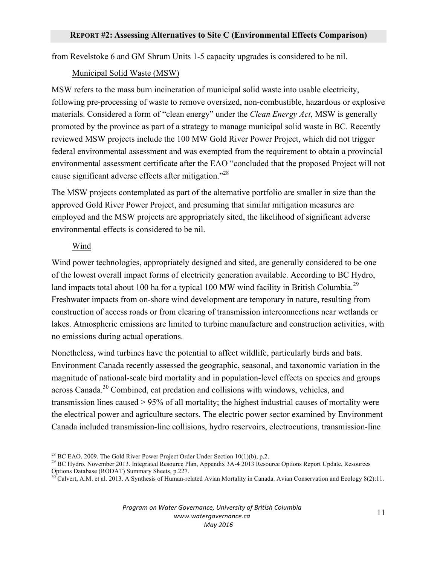from Revelstoke 6 and GM Shrum Units 1-5 capacity upgrades is considered to be nil.

### Municipal Solid Waste (MSW)

MSW refers to the mass burn incineration of municipal solid waste into usable electricity, following pre-processing of waste to remove oversized, non-combustible, hazardous or explosive materials. Considered a form of "clean energy" under the *Clean Energy Act*, MSW is generally promoted by the province as part of a strategy to manage municipal solid waste in BC. Recently reviewed MSW projects include the 100 MW Gold River Power Project, which did not trigger federal environmental assessment and was exempted from the requirement to obtain a provincial environmental assessment certificate after the EAO "concluded that the proposed Project will not cause significant adverse effects after mitigation."28

The MSW projects contemplated as part of the alternative portfolio are smaller in size than the approved Gold River Power Project, and presuming that similar mitigation measures are employed and the MSW projects are appropriately sited, the likelihood of significant adverse environmental effects is considered to be nil.

### Wind

Wind power technologies, appropriately designed and sited, are generally considered to be one of the lowest overall impact forms of electricity generation available. According to BC Hydro, land impacts total about 100 ha for a typical 100 MW wind facility in British Columbia.<sup>29</sup> Freshwater impacts from on-shore wind development are temporary in nature, resulting from construction of access roads or from clearing of transmission interconnections near wetlands or lakes. Atmospheric emissions are limited to turbine manufacture and construction activities, with no emissions during actual operations.

Nonetheless, wind turbines have the potential to affect wildlife, particularly birds and bats. Environment Canada recently assessed the geographic, seasonal, and taxonomic variation in the magnitude of national-scale bird mortality and in population-level effects on species and groups across Canada.<sup>30</sup> Combined, cat predation and collisions with windows, vehicles, and transmission lines caused > 95% of all mortality; the highest industrial causes of mortality were the electrical power and agriculture sectors. The electric power sector examined by Environment Canada included transmission-line collisions, hydro reservoirs, electrocutions, transmission-line

<sup>&</sup>lt;sup>28</sup> BC EAO. 2009. The Gold River Power Project Order Under Section 10(1)(b), p.2.<br><sup>29</sup> BC Hydro. November 2013. Integrated Resource Plan, Appendix 3A-4 2013 Resource Options Report Update, Resources Options Database (RODAT) Summary Sheets, p.227.

Calvert, A.M. et al. 2013. A Synthesis of Human-related Avian Mortality in Canada. Avian Conservation and Ecology 8(2):11.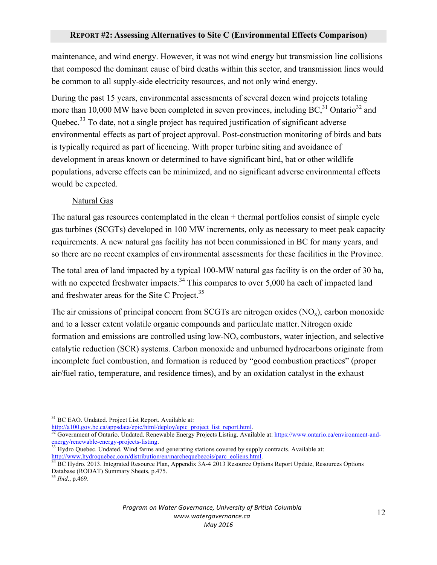maintenance, and wind energy. However, it was not wind energy but transmission line collisions that composed the dominant cause of bird deaths within this sector, and transmission lines would be common to all supply-side electricity resources, and not only wind energy.

During the past 15 years, environmental assessments of several dozen wind projects totaling more than 10,000 MW have been completed in seven provinces, including  $BC<sup>31</sup>$  Ontario<sup>32</sup> and Quebec.<sup>33</sup> To date, not a single project has required justification of significant adverse environmental effects as part of project approval. Post-construction monitoring of birds and bats is typically required as part of licencing. With proper turbine siting and avoidance of development in areas known or determined to have significant bird, bat or other wildlife populations, adverse effects can be minimized, and no significant adverse environmental effects would be expected.

### Natural Gas

The natural gas resources contemplated in the clean + thermal portfolios consist of simple cycle gas turbines (SCGTs) developed in 100 MW increments, only as necessary to meet peak capacity requirements. A new natural gas facility has not been commissioned in BC for many years, and so there are no recent examples of environmental assessments for these facilities in the Province.

The total area of land impacted by a typical 100-MW natural gas facility is on the order of 30 ha, with no expected freshwater impacts.<sup>34</sup> This compares to over 5,000 ha each of impacted land and freshwater areas for the Site C Project.<sup>35</sup>

The air emissions of principal concern from SCGTs are nitrogen oxides  $(NO<sub>x</sub>)$ , carbon monoxide and to a lesser extent volatile organic compounds and particulate matter. Nitrogen oxide formation and emissions are controlled using  $low-NO_x$  combustors, water injection, and selective catalytic reduction (SCR) systems. Carbon monoxide and unburned hydrocarbons originate from incomplete fuel combustion, and formation is reduced by "good combustion practices" (proper air/fuel ratio, temperature, and residence times), and by an oxidation catalyst in the exhaust

<sup>31</sup> BC EAO. Undated. Project List Report. Available at:<br> $\frac{http://a100.gov.bc.ca/appsdata/epic/html/deploy/epic$  project list report.html.

 $\frac{32}{32}$  Government of Ontario. Undated. Renewable Energy Projects Listing. Available at: https://www.ontario.ca/environment-and-<br>energy/renewable-energy-projects-listing.

Hydro Quebec. Undated. Wind farms and generating stations covered by supply contracts. Available at: http://www.hydroquebec.com/distribution/en/marchequebecois/parc\_eoliens.html.<br><sup>34</sup> BC Hydro. 2013. Integrated Resource Plan, Appendix 3A-4 2013 Resource Options Report Update, Resources Options

Database (RODAT) Summary Sheets, p.475.

<sup>35</sup> *Ibid*., p.469.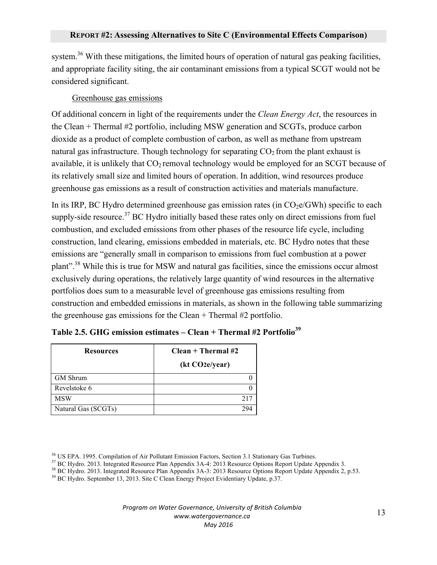system.<sup>36</sup> With these mitigations, the limited hours of operation of natural gas peaking facilities, and appropriate facility siting, the air contaminant emissions from a typical SCGT would not be considered significant.

## Greenhouse gas emissions

Of additional concern in light of the requirements under the *Clean Energy Act*, the resources in the Clean + Thermal #2 portfolio, including MSW generation and SCGTs, produce carbon dioxide as a product of complete combustion of carbon, as well as methane from upstream natural gas infrastructure. Though technology for separating  $CO<sub>2</sub>$  from the plant exhaust is available, it is unlikely that  $CO_2$  removal technology would be employed for an SCGT because of its relatively small size and limited hours of operation. In addition, wind resources produce greenhouse gas emissions as a result of construction activities and materials manufacture.

In its IRP, BC Hydro determined greenhouse gas emission rates (in  $CO<sub>2</sub>e/GWh$ ) specific to each supply-side resource.<sup>37</sup> BC Hydro initially based these rates only on direct emissions from fuel combustion, and excluded emissions from other phases of the resource life cycle, including construction, land clearing, emissions embedded in materials, etc. BC Hydro notes that these emissions are "generally small in comparison to emissions from fuel combustion at a power plant".<sup>38</sup> While this is true for MSW and natural gas facilities, since the emissions occur almost exclusively during operations, the relatively large quantity of wind resources in the alternative portfolios does sum to a measurable level of greenhouse gas emissions resulting from construction and embedded emissions in materials, as shown in the following table summarizing the greenhouse gas emissions for the Clean + Thermal #2 portfolio.

| <b>Resources</b>    | $Clean + Thermal #2$        |  |  |
|---------------------|-----------------------------|--|--|
|                     | (kt CO <sub>2</sub> e/year) |  |  |
| <b>GM</b> Shrum     |                             |  |  |
| Revelstoke 6        |                             |  |  |
| <b>MSW</b>          | 217                         |  |  |
| Natural Gas (SCGTs) |                             |  |  |

|  |  | Table 2.5. GHG emission estimates – Clean + Thermal #2 Portfolio <sup>39</sup> |  |  |  |  |
|--|--|--------------------------------------------------------------------------------|--|--|--|--|
|--|--|--------------------------------------------------------------------------------|--|--|--|--|

<sup>36</sup> US EPA. 1995. Compilation of Air Pollutant Emission Factors, Section 3.1 Stationary Gas Turbines.<br><sup>37</sup> BC Hydro. 2013. Integrated Resource Plan Appendix 3A-4: 2013 Resource Options Report Update Appendix 3.<br><sup>38</sup> BC H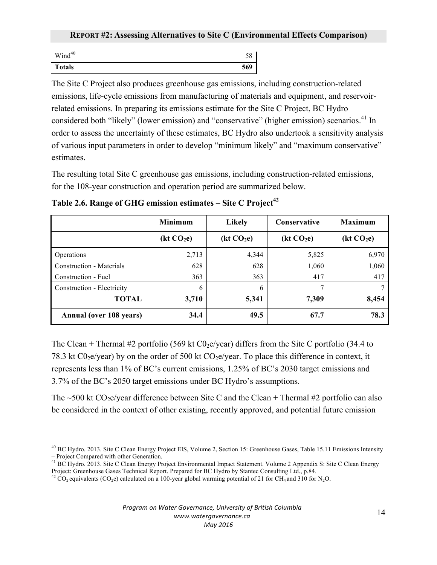| $Wind^{40}$   | IJΟ |
|---------------|-----|
| <b>Totals</b> | 569 |

The Site C Project also produces greenhouse gas emissions, including construction-related emissions, life-cycle emissions from manufacturing of materials and equipment, and reservoirrelated emissions. In preparing its emissions estimate for the Site C Project, BC Hydro considered both "likely" (lower emission) and "conservative" (higher emission) scenarios.<sup>41</sup> In order to assess the uncertainty of these estimates, BC Hydro also undertook a sensitivity analysis of various input parameters in order to develop "minimum likely" and "maximum conservative" estimates.

The resulting total Site C greenhouse gas emissions, including construction-related emissions, for the 108-year construction and operation period are summarized below.

|                                 | <b>Minimum</b>         | <b>Likely</b>          | <b>Conservative</b>    | <b>Maximum</b>         |
|---------------------------------|------------------------|------------------------|------------------------|------------------------|
|                                 | (kt CO <sub>2</sub> e) | (kt CO <sub>2</sub> e) | (kt CO <sub>2</sub> e) | (kt CO <sub>2</sub> e) |
| Operations                      | 2,713                  | 4,344                  | 5,825                  | 6,970                  |
| <b>Construction - Materials</b> | 628                    | 628                    | 1,060                  | 1,060                  |
| Construction - Fuel             | 363                    | 363                    | 417                    | 417                    |
| Construction - Electricity      | 6                      | 6                      | ⇁                      |                        |
| <b>TOTAL</b>                    | 3,710                  | 5,341                  | 7,309                  | 8,454                  |
| <b>Annual (over 108 years)</b>  | 34.4                   | 49.5                   | 67.7                   | 78.3                   |

**Table 2.6. Range of GHG emission estimates – Site C Project<sup>42</sup>** 

The Clean + Thermal #2 portfolio (569 kt  $C_0$ <sub>2</sub>e/year) differs from the Site C portfolio (34.4 to 78.3 kt C0<sub>2</sub>e/year) by on the order of 500 kt CO<sub>2</sub>e/year. To place this difference in context, it represents less than 1% of BC's current emissions, 1.25% of BC's 2030 target emissions and 3.7% of the BC's 2050 target emissions under BC Hydro's assumptions.

The  $\sim$ 500 kt CO<sub>2</sub>e/year difference between Site C and the Clean + Thermal #2 portfolio can also be considered in the context of other existing, recently approved, and potential future emission

 $^{40}$  BC Hydro. 2013. Site C Clean Energy Project EIS, Volume 2, Section 15: Greenhouse Gases, Table 15.11 Emissions Intensity – Project Compared with other Generation.

<sup>–</sup> Project Compared with other Generation. <sup>41</sup> BC Hydro. 2013. Site C Clean Energy Project Environmental Impact Statement. Volume 2 Appendix S: Site C Clean Energy

Project: Greenhouse Gases Technical Report. Prepared for BC Hydro by Stantec Consulting Ltd., p.84.  $^{42}$  CO<sub>2</sub> equivalents (CO<sub>2</sub>e) calculated on a 100-year global warming potential of 21 for CH<sub>4</sub> and 310 for N<sub>2</sub>O.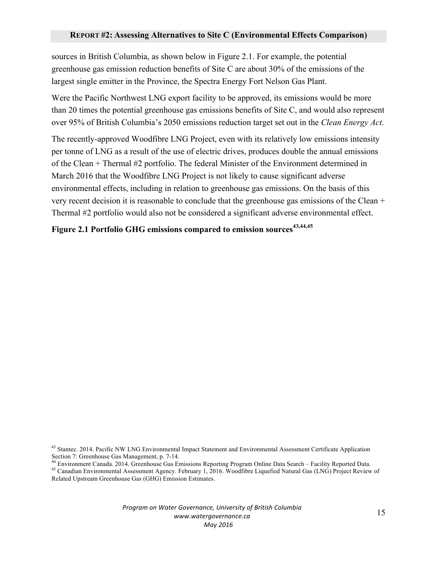### **REPORT #2: Assessing Alternatives to Site C (Environmental Effects Comparison)**

sources in British Columbia, as shown below in Figure 2.1. For example, the potential greenhouse gas emission reduction benefits of Site C are about 30% of the emissions of the largest single emitter in the Province, the Spectra Energy Fort Nelson Gas Plant.

Were the Pacific Northwest LNG export facility to be approved, its emissions would be more than 20 times the potential greenhouse gas emissions benefits of Site C, and would also represent over 95% of British Columbia's 2050 emissions reduction target set out in the *Clean Energy Act*.

The recently-approved Woodfibre LNG Project, even with its relatively low emissions intensity per tonne of LNG as a result of the use of electric drives, produces double the annual emissions of the Clean + Thermal #2 portfolio. The federal Minister of the Environment determined in March 2016 that the Woodfibre LNG Project is not likely to cause significant adverse environmental effects, including in relation to greenhouse gas emissions. On the basis of this very recent decision it is reasonable to conclude that the greenhouse gas emissions of the Clean + Thermal #2 portfolio would also not be considered a significant adverse environmental effect.

# **Figure 2.1 Portfolio GHG emissions compared to emission sources43,44,45**

<sup>&</sup>lt;sup>43</sup> Stantec. 2014. Pacific NW LNG Environmental Impact Statement and Environmental Assessment Certificate Application

Section 7: Greenhouse Gas Management, p. 7-14.<br>
<sup>44</sup> Environment Canada. 2014. Greenhouse Gas Emissions Reporting Program Online Data Search – Facility Reported Data.<br>
<sup>45</sup> Canadian Environmental Assessment Agency. Februar

Related Upstream Greenhouse Gas (GHG) Emission Estimates.